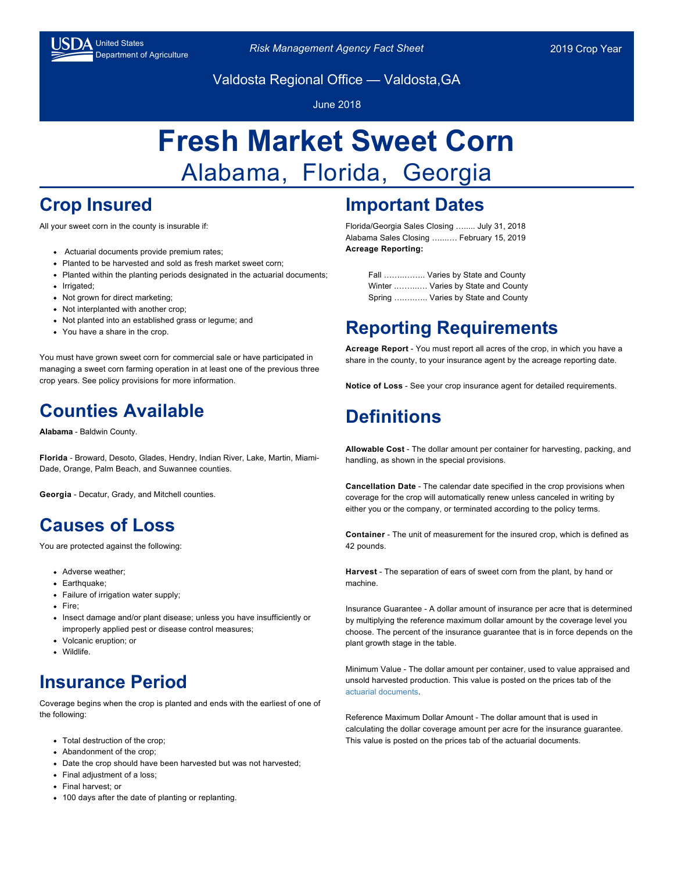

Department of Agriculture *Risk Management Agency Fact Sheet* 2019 Crop Year

Valdosta Regional Office — Valdosta,GA

June 2018

# **Fresh Market Sweet Corn** Alabama, Florida, Georgia

## **Crop Insured**

All your sweet corn in the county is insurable if:

- Actuarial documents provide premium rates;
- Planted to be harvested and sold as fresh market sweet corn;
- Planted within the planting periods designated in the actuarial documents;
- Irrigated:
- Not grown for direct marketing;
- Not interplanted with another crop;
- Not planted into an established grass or legume; and
- You have a share in the crop.

You must have grown sweet corn for commercial sale or have participated in managing a sweet corn farming operation in at least one of the previous three crop years. See policy provisions for more information.

#### **Counties Available**

**Alabama** - Baldwin County.

**Florida** - Broward, Desoto, Glades, Hendry, Indian River, Lake, Martin, Miami-Dade, Orange, Palm Beach, and Suwannee counties.

**Georgia** - Decatur, Grady, and Mitchell counties.

#### **Causes of Loss**

You are protected against the following:

- Adverse weather;
- Earthquake;
- Failure of irrigation water supply;
- Fire:
- Insect damage and/or plant disease; unless you have insufficiently or improperly applied pest or disease control measures;
- Volcanic eruption; or
- Wildlife.

## **Insurance Period**

Coverage begins when the crop is planted and ends with the earliest of one of the following:

- Total destruction of the crop;
- Abandonment of the crop:
- Date the crop should have been harvested but was not harvested;
- Final adiustment of a loss:
- Final harvest; or
- 100 days after the date of planting or replanting.

## **Important Dates**

Florida/Georgia Sales Closing …..... July 31, 2018 Alabama Sales Closing …...…. February 15, 2019 **Acreage Reporting:**

> Fall ……..…….. Varies by State and County Winter .……..…. Varies by State and County Spring ….….….. Varies by State and County

## **Reporting Requirements**

**Acreage Report** - You must report all acres of the crop, in which you have a share in the county, to your insurance agent by the acreage reporting date.

**Notice of Loss** - See your crop insurance agent for detailed requirements.

## **Definitions**

**Allowable Cost** - The dollar amount per container for harvesting, packing, and handling, as shown in the special provisions.

**Cancellation Date** - The calendar date specified in the crop provisions when coverage for the crop will automatically renew unless canceled in writing by either you or the company, or terminated according to the policy terms.

**Container** - The unit of measurement for the insured crop, which is defined as 42 pounds.

**Harvest** - The separation of ears of sweet corn from the plant, by hand or machine.

Insurance Guarantee - A dollar amount of insurance per acre that is determined by multiplying the reference maximum dollar amount by the coverage level you choose. The percent of the insurance guarantee that is in force depends on the plant growth stage in the table.

Minimum Value - The dollar amount per container, used to value appraised and unsold harvested production. This value is posted on the prices tab of the [actuarial documents](https://webapp.rma.usda.gov/apps/ActuarialInformationBrowser/Default.aspx).

Reference Maximum Dollar Amount - The dollar amount that is used in calculating the dollar coverage amount per acre for the insurance guarantee. This value is posted on the prices tab of the actuarial documents.